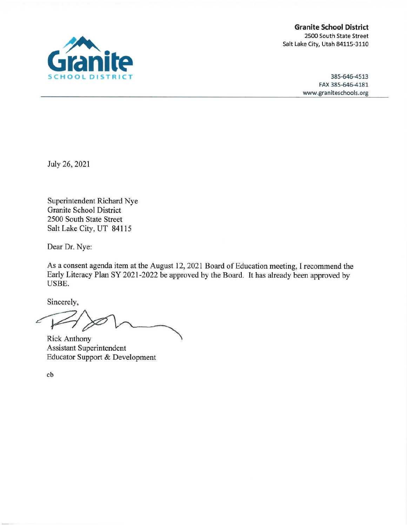**Granite School District** 2500 South State Street Salt Lake City, Utah 84115-3110

> 385-646-4513 FAX 385-646-4181 www.graniteschools.org

July 26, 2021

Superintendent Richard Nye **Granite School District** 2500 South State Street Salt Lake City, UT 84115

Dear Dr. Nye:

As a consent agenda item at the August 12, 2021 Board of Education meeting, I recommend the Early Literacy Plan SY 2021-2022 be approved by the Board. It has already been approved by USBE.

Sincerely,

Ł

**Rick Anthony** Assistant Superintendent Educator Support & Development

 $cb$ 

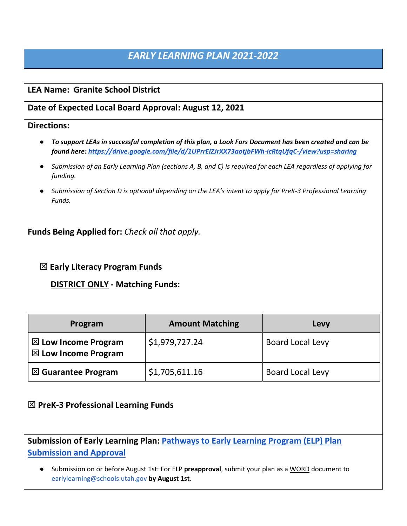# *EARLY LEARNING PLAN 2021-2022*

# **LEA Name: Granite School District**

# **Date of Expected Local Board Approval: August 12, 2021**

## **Directions:**

- *To support LEAs in successful completion of this plan, a Look Fors Document has been created and can be found here:<https://drive.google.com/file/d/1UPrrElZJrXX73aotjbFWh-icRtqUfqC-/view?usp=sharing>*
- *Submission of an Early Learning Plan (sections A, B, and C) is required for each LEA regardless of applying for funding.*
- *Submission of Section D is optional depending on the LEA's intent to apply for PreK-3 Professional Learning Funds.*

**Funds Being Applied for:** *Check all that apply.*

**Early Literacy Program Funds** 

 **DISTRICT ONLY - Matching Funds:**

| Program                                                          | <b>Amount Matching</b> | Levy                    |
|------------------------------------------------------------------|------------------------|-------------------------|
| $\boxtimes$ Low Income Program<br>$\boxtimes$ Low Income Program | \$1,979,727.24         | <b>Board Local Levy</b> |
| $\boxtimes$ Guarantee Program                                    | \$1,705,611.16         | <b>Board Local Levy</b> |

**PreK-3 Professional Learning Funds** 

**Submission of Early Learning Plan: [Pathways to Early Learning Program \(ELP\) Plan](https://docs.google.com/document/d/1UqeTZmm4eYFXyZPXL6Z3vSh5v2XRdz7PP2r1mgy9Uf0/edit?usp=sharing)  [Submission and Approval](https://docs.google.com/document/d/1UqeTZmm4eYFXyZPXL6Z3vSh5v2XRdz7PP2r1mgy9Uf0/edit?usp=sharing)**

● Submission on or before August 1st: For ELP **preapproval**, submit your plan as a WORD document to [earlylearning@schools.utah.gov](mailto:earlylearning@schools.utah.gov) **by August 1st***.*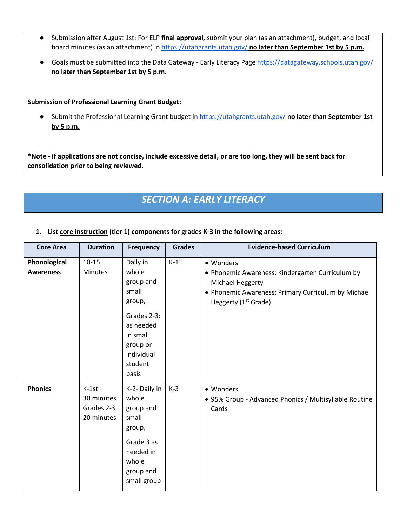- Submission after August 1st: For ELP **final approval**, submit your plan (as an attachment), budget, and local board minutes (as an attachment) in<https://utahgrants.utah.gov/> **no later than September 1st by 5 p.m.**
- Goals must be submitted into the Data Gateway Early Literacy Page<https://datagateway.schools.utah.gov/> **no later than September 1st by 5 p.m.**

**Submission of Professional Learning Grant Budget:** 

● Submit the Professional Learning Grant budget in<https://utahgrants.utah.gov/> **no later than September 1st by 5 p.m.** 

**\*Note - if applications are not concise, include excessive detail, or are too long, they will be sent back for consolidation prior to being reviewed.** 

# *SECTION A: EARLY LITERACY*

**1. List core instruction (tier 1) components for grades K-3 in the following areas:** 

| <b>Core Area</b>                 | <b>Duration</b>                                   | <b>Frequency</b>                                                                                                                        | <b>Grades</b> | <b>Evidence-based Curriculum</b>                                                                                                                                             |
|----------------------------------|---------------------------------------------------|-----------------------------------------------------------------------------------------------------------------------------------------|---------------|------------------------------------------------------------------------------------------------------------------------------------------------------------------------------|
| Phonological<br><b>Awareness</b> | $10 - 15$<br><b>Minutes</b>                       | Daily in<br>whole<br>group and<br>small<br>group,<br>Grades 2-3:<br>as needed<br>in small<br>group or<br>individual<br>student<br>basis | $K-1^{st}$    | • Wonders<br>• Phonemic Awareness: Kindergarten Curriculum by<br>Michael Heggerty<br>• Phonemic Awareness: Primary Curriculum by Michael<br>Heggerty (1 <sup>st</sup> Grade) |
| <b>Phonics</b>                   | $K-1st$<br>30 minutes<br>Grades 2-3<br>20 minutes | K-2- Daily in<br>whole<br>group and<br>small<br>group,<br>Grade 3 as<br>needed in<br>whole<br>group and<br>small group                  | $K-3$         | • Wonders<br>• 95% Group - Advanced Phonics / Multisyllable Routine<br>Cards                                                                                                 |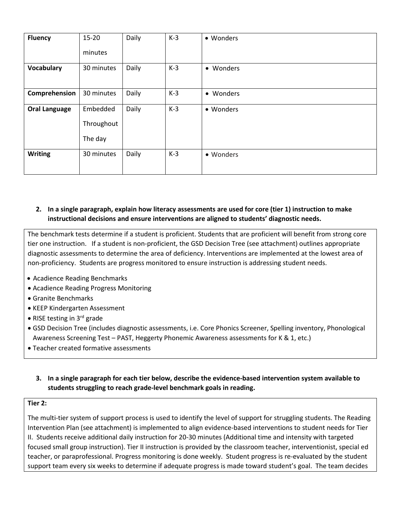| <b>Fluency</b>       | 15-20      | Daily | $K-3$ | • Wonders |
|----------------------|------------|-------|-------|-----------|
|                      | minutes    |       |       |           |
| <b>Vocabulary</b>    | 30 minutes | Daily | $K-3$ | • Wonders |
|                      |            |       |       |           |
| Comprehension        | 30 minutes | Daily | $K-3$ | • Wonders |
| <b>Oral Language</b> | Embedded   | Daily | $K-3$ | • Wonders |
|                      | Throughout |       |       |           |
|                      | The day    |       |       |           |
| <b>Writing</b>       | 30 minutes | Daily | $K-3$ | • Wonders |
|                      |            |       |       |           |

## **2. In a single paragraph, explain how literacy assessments are used for core (tier 1) instruction to make instructional decisions and ensure interventions are aligned to students' diagnostic needs.**

The benchmark tests determine if a student is proficient. Students that are proficient will benefit from strong core tier one instruction. If a student is non-proficient, the GSD Decision Tree (see attachment) outlines appropriate diagnostic assessments to determine the area of deficiency. Interventions are implemented at the lowest area of non-proficiency. Students are progress monitored to ensure instruction is addressing student needs.

- Acadience Reading Benchmarks
- Acadience Reading Progress Monitoring
- Granite Benchmarks
- KEEP Kindergarten Assessment
- RISE testing in  $3^{rd}$  grade
- GSD Decision Tree (includes diagnostic assessments, i.e. Core Phonics Screener, Spelling inventory, Phonological Awareness Screening Test – PAST, Heggerty Phonemic Awareness assessments for K & 1, etc.)
- Teacher created formative assessments

## **3. In a single paragraph for each tier below, describe the evidence-based intervention system available to students struggling to reach grade-level benchmark goals in reading.**

#### **Tier 2:**

The multi-tier system of support process is used to identify the level of support for struggling students. The Reading Intervention Plan (see attachment) is implemented to align evidence-based interventions to student needs for Tier II. Students receive additional daily instruction for 20-30 minutes (Additional time and intensity with targeted focused small group instruction). Tier II instruction is provided by the classroom teacher, interventionist, special ed teacher, or paraprofessional. Progress monitoring is done weekly. Student progress is re-evaluated by the student support team every six weeks to determine if adequate progress is made toward student's goal. The team decides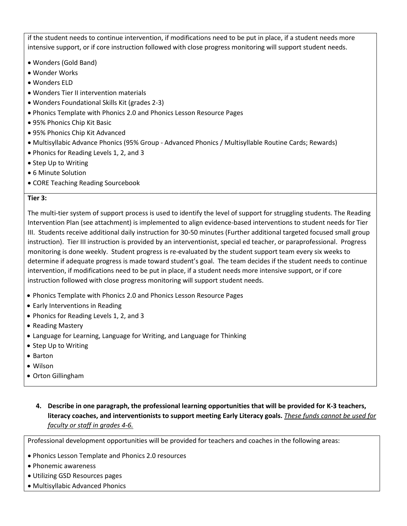if the student needs to continue intervention, if modifications need to be put in place, if a student needs more intensive support, or if core instruction followed with close progress monitoring will support student needs.

- Wonders (Gold Band)
- Wonder Works
- Wonders ELD
- Wonders Tier II intervention materials
- Wonders Foundational Skills Kit (grades 2-3)
- Phonics Template with Phonics 2.0 and Phonics Lesson Resource Pages
- 95% Phonics Chip Kit Basic
- 95% Phonics Chip Kit Advanced
- Multisyllabic Advance Phonics (95% Group Advanced Phonics / Multisyllable Routine Cards; Rewards)
- Phonics for Reading Levels 1, 2, and 3
- Step Up to Writing
- 6 Minute Solution
- CORE Teaching Reading Sourcebook

#### **Tier 3:**

The multi-tier system of support process is used to identify the level of support for struggling students. The Reading Intervention Plan (see attachment) is implemented to align evidence-based interventions to student needs for Tier III. Students receive additional daily instruction for 30-50 minutes (Further additional targeted focused small group instruction). Tier III instruction is provided by an interventionist, special ed teacher, or paraprofessional. Progress monitoring is done weekly. Student progress is re-evaluated by the student support team every six weeks to determine if adequate progress is made toward student's goal. The team decides if the student needs to continue intervention, if modifications need to be put in place, if a student needs more intensive support, or if core instruction followed with close progress monitoring will support student needs.

- Phonics Template with Phonics 2.0 and Phonics Lesson Resource Pages
- Early Interventions in Reading
- Phonics for Reading Levels 1, 2, and 3
- Reading Mastery
- Language for Learning, Language for Writing, and Language for Thinking
- Step Up to Writing
- Barton
- Wilson
- Orton Gillingham
	- **4. Describe in one paragraph, the professional learning opportunities that will be provided for K-3 teachers, literacy coaches, and interventionists to support meeting Early Literacy goals.** *These funds cannot be used for faculty or staff in grades 4-6.*

Professional development opportunities will be provided for teachers and coaches in the following areas:

- Phonics Lesson Template and Phonics 2.0 resources
- Phonemic awareness
- Utilizing GSD Resources pages
- Multisyllabic Advanced Phonics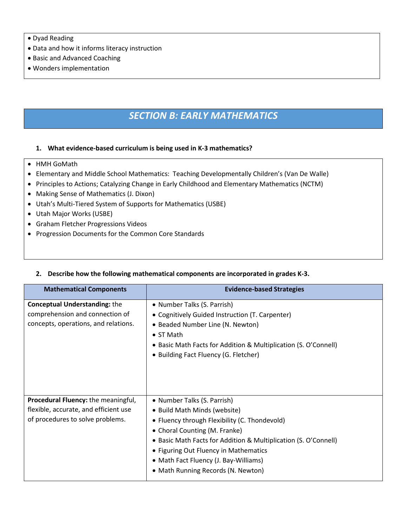#### • Dyad Reading

- Data and how it informs literacy instruction
- Basic and Advanced Coaching
- Wonders implementation

# *SECTION B: EARLY MATHEMATICS*

#### **1. What evidence-based curriculum is being used in K-3 mathematics?**

- HMH GoMath
- Elementary and Middle School Mathematics: Teaching Developmentally Children's (Van De Walle)
- Principles to Actions; Catalyzing Change in Early Childhood and Elementary Mathematics (NCTM)
- Making Sense of Mathematics (J. Dixon)
- Utah's Multi-Tiered System of Supports for Mathematics (USBE)
- Utah Major Works (USBE)
- Graham Fletcher Progressions Videos
- Progression Documents for the Common Core Standards

#### **2. Describe how the following mathematical components are incorporated in grades K-3.**

| <b>Mathematical Components</b>                                                                                          | <b>Evidence-based Strategies</b>                                                                                                                                                                                                                                                                                                         |
|-------------------------------------------------------------------------------------------------------------------------|------------------------------------------------------------------------------------------------------------------------------------------------------------------------------------------------------------------------------------------------------------------------------------------------------------------------------------------|
| <b>Conceptual Understanding: the</b><br>comprehension and connection of<br>concepts, operations, and relations.         | • Number Talks (S. Parrish)<br>• Cognitively Guided Instruction (T. Carpenter)<br>• Beaded Number Line (N. Newton)<br>$\bullet$ ST Math<br>• Basic Math Facts for Addition & Multiplication (S. O'Connell)<br>• Building Fact Fluency (G. Fletcher)                                                                                      |
| <b>Procedural Fluency:</b> the meaningful,<br>flexible, accurate, and efficient use<br>of procedures to solve problems. | • Number Talks (S. Parrish)<br>• Build Math Minds (website)<br>• Fluency through Flexibility (C. Thondevold)<br>• Choral Counting (M. Franke)<br>• Basic Math Facts for Addition & Multiplication (S. O'Connell)<br>• Figuring Out Fluency in Mathematics<br>• Math Fact Fluency (J. Bay-Williams)<br>• Math Running Records (N. Newton) |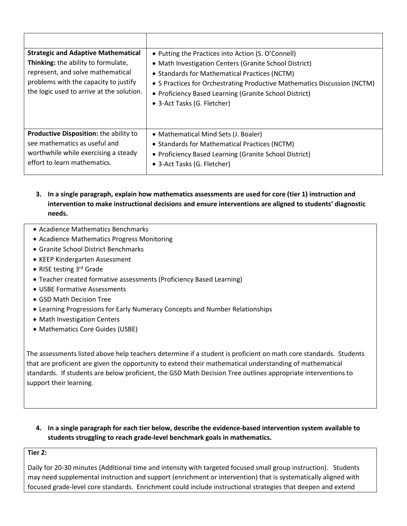| <b>Strategic and Adaptive Mathematical</b><br>Thinking: the ability to formulate,<br>represent, and solve mathematical<br>problems with the capacity to justify<br>the logic used to arrive at the solution. | • Putting the Practices into Action (S. O'Connell)<br>• Math Investigation Centers (Granite School District)<br>• Standards for Mathematical Practices (NCTM)<br>• 5 Practices for Orchestrating Productive Mathematics Discussion (NCTM)<br>• Proficiency Based Learning (Granite School District)<br>• 3-Act Tasks (G. Fletcher) |
|--------------------------------------------------------------------------------------------------------------------------------------------------------------------------------------------------------------|------------------------------------------------------------------------------------------------------------------------------------------------------------------------------------------------------------------------------------------------------------------------------------------------------------------------------------|
| Productive Disposition: the ability to<br>see mathematics as useful and<br>worthwhile while exercising a steady<br>effort to learn mathematics.                                                              | • Mathematical Mind Sets (J. Boaler)<br>• Standards for Mathematical Practices (NCTM)<br>• Proficiency Based Learning (Granite School District)<br>• 3-Act Tasks (G. Fletcher)                                                                                                                                                     |

- **3. In a single paragraph, explain how mathematics assessments are used for core (tier 1) instruction and intervention to make instructional decisions and ensure interventions are aligned to students' diagnostic needs.**
- Acadience Mathematics Benchmarks
- Acadience Mathematics Progress Monitoring
- Granite School District Benchmarks
- KEEP Kindergarten Assessment
- RISE testing 3<sup>rd</sup> Grade
- Teacher created formative assessments (Proficiency Based Learning)
- USBE Formative Assessments
- GSD Math Decision Tree
- Learning Progressions for Early Numeracy Concepts and Number Relationships
- Math Investigation Centers
- Mathematics Core Guides (USBE)

The assessments listed above help teachers determine if a student is proficient on math core standards. Students that are proficient are given the opportunity to extend their mathematical understanding of mathematical standards. If students are below proficient, the GSD Math Decision Tree outlines appropriate interventions to support their learning.

**4. In a single paragraph for each tier below, describe the evidence-based intervention system available to students struggling to reach grade-level benchmark goals in mathematics.**

### **Tier 2:**

Daily for 20-30 minutes (Additional time and intensity with targeted focused small group instruction). Students may need supplemental instruction and support (enrichment or intervention) that is systematically aligned with focused grade-level core standards. Enrichment could include instructional strategies that deepen and extend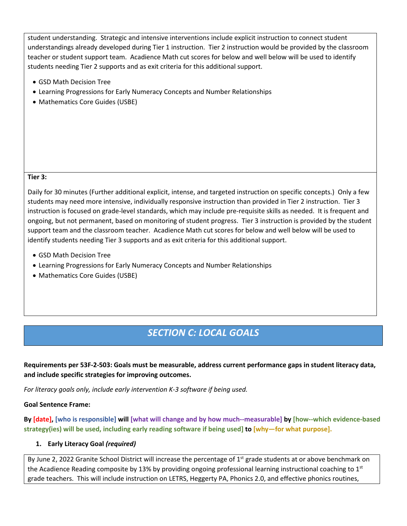student understanding. Strategic and intensive interventions include explicit instruction to connect student understandings already developed during Tier 1 instruction. Tier 2 instruction would be provided by the classroom teacher or student support team. Acadience Math cut scores for below and well below will be used to identify students needing Tier 2 supports and as exit criteria for this additional support.

- GSD Math Decision Tree
- Learning Progressions for Early Numeracy Concepts and Number Relationships
- Mathematics Core Guides (USBE)

#### **Tier 3:**

Daily for 30 minutes (Further additional explicit, intense, and targeted instruction on specific concepts.) Only a few students may need more intensive, individually responsive instruction than provided in Tier 2 instruction. Tier 3 instruction is focused on grade-level standards, which may include pre-requisite skills as needed. It is frequent and ongoing, but not permanent, based on monitoring of student progress. Tier 3 instruction is provided by the student support team and the classroom teacher. Acadience Math cut scores for below and well below will be used to identify students needing Tier 3 supports and as exit criteria for this additional support.

- GSD Math Decision Tree
- Learning Progressions for Early Numeracy Concepts and Number Relationships
- Mathematics Core Guides (USBE)

# *SECTION C: LOCAL GOALS*

**Requirements per 53F-2-503: Goals must be measurable, address current performance gaps in student literacy data, and include specific strategies for improving outcomes.**

*For literacy goals only, include early intervention K-3 software if being used.* 

#### **Goal Sentence Frame:**

**By [date], [who is responsible] will [what will change and by how much--measurable] by [how--which evidence-based strategy(ies) will be used, including early reading software if being used] to [why—for what purpose].**

#### **1. Early Literacy Goal** *(required)*

By June 2, 2022 Granite School District will increase the percentage of  $1<sup>st</sup>$  grade students at or above benchmark on the Acadience Reading composite by 13% by providing ongoing professional learning instructional coaching to 1st grade teachers. This will include instruction on LETRS, Heggerty PA, Phonics 2.0, and effective phonics routines,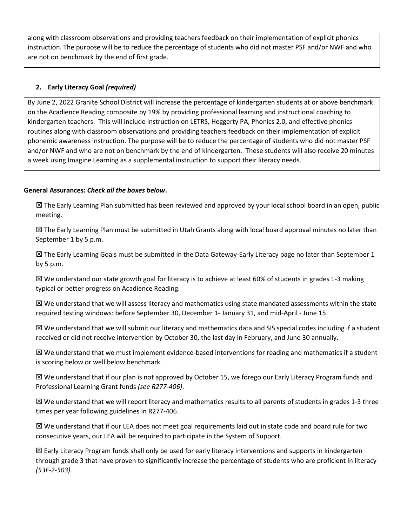along with classroom observations and providing teachers feedback on their implementation of explicit phonics instruction. The purpose will be to reduce the percentage of students who did not master PSF and/or NWF and who are not on benchmark by the end of first grade.

## **2. Early Literacy Goal** *(required)*

By June 2, 2022 Granite School District will increase the percentage of kindergarten students at or above benchmark on the Acadience Reading composite by 19% by providing professional learning and instructional coaching to kindergarten teachers. This will include instruction on LETRS, Heggerty PA, Phonics 2.0, and effective phonics routines along with classroom observations and providing teachers feedback on their implementation of explicit phonemic awareness instruction. The purpose will be to reduce the percentage of students who did not master PSF and/or NWF and who are not on benchmark by the end of kindergarten. These students will also receive 20 minutes a week using Imagine Learning as a supplemental instruction to support their literacy needs.

### **General Assurances:** *Check all the boxes below***.**

 $\boxtimes$  The Early Learning Plan submitted has been reviewed and approved by your local school board in an open, public meeting.

 The Early Learning Plan must be submitted in Utah Grants along with local board approval minutes no later than September 1 by 5 p.m.

 $\boxtimes$  The Early Learning Goals must be submitted in the Data Gateway-Early Literacy page no later than September 1 by 5 p.m.

 $\boxtimes$  We understand our state growth goal for literacy is to achieve at least 60% of students in grades 1-3 making typical or better progress on Acadience Reading.

 $\boxtimes$  We understand that we will assess literacy and mathematics using state mandated assessments within the state required testing windows: before September 30, December 1- January 31, and mid-April - June 15.

 $\boxtimes$  We understand that we will submit our literacy and mathematics data and SIS special codes including if a student received or did not receive intervention by October 30, the last day in February, and June 30 annually.

 $\boxtimes$  We understand that we must implement evidence-based interventions for reading and mathematics if a student is scoring below or well below benchmark.

 We understand that if our plan is not approved by October 15, we forego our Early Literacy Program funds and Professional Learning Grant funds *(see R277-406)*.

 $\boxtimes$  We understand that we will report literacy and mathematics results to all parents of students in grades 1-3 three times per year following guidelines in R277-406.

 $\boxtimes$  We understand that if our LEA does not meet goal requirements laid out in state code and board rule for two consecutive years, our LEA will be required to participate in the System of Support.

 $\boxtimes$  Early Literacy Program funds shall only be used for early literacy interventions and supports in kindergarten through grade 3 that have proven to significantly increase the percentage of students who are proficient in literacy *(53F-2-503).*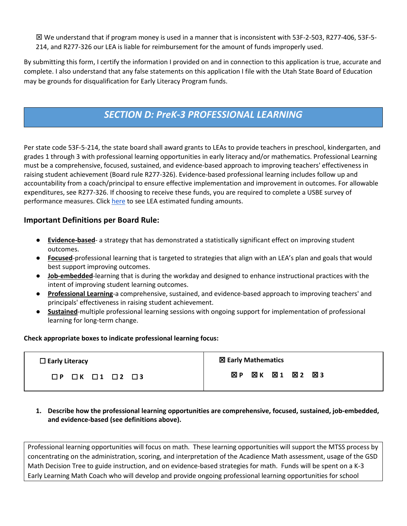We understand that if program money is used in a manner that is inconsistent with 53F-2-503, R277-406, 53F-5- 214, and R277-326 our LEA is liable for reimbursement for the amount of funds improperly used.

By submitting this form, I certify the information I provided on and in connection to this application is true, accurate and complete. I also understand that any false statements on this application I file with the Utah State Board of Education may be grounds for disqualification for Early Literacy Program funds.

# *SECTION D: PreK-3 PROFESSIONAL LEARNING*

Per state code 53F-5-214, the state board shall award grants to LEAs to provide teachers in preschool, kindergarten, and grades 1 through 3 with professional learning opportunities in early literacy and/or mathematics. Professional Learning must be a comprehensive, focused, sustained, and evidence-based approach to improving teachers' effectiveness in raising student achievement (Board rule R277-326). Evidence-based professional learning includes follow up and accountability from a coach/principal to ensure effective implementation and improvement in outcomes. For allowable expenditures, see R277-326. If choosing to receive these funds, you are required to complete a USBE survey of performance measures. Click [here](https://drive.google.com/file/d/1n3b19n6iVE7oC0QaxqG2ubICXpQmiSbV/view?usp=sharing) to see LEA estimated funding amounts.

# **Important Definitions per Board Rule:**

- **Evidence-based** a strategy that has demonstrated a statistically significant effect on improving student outcomes.
- **Focused**-professional learning that is targeted to strategies that align with an LEA's plan and goals that would best support improving outcomes.
- **Job-embedded**-learning that is during the workday and designed to enhance instructional practices with the intent of improving student learning outcomes.
- **Professional Learning**-a comprehensive, sustained, and evidence-based approach to improving teachers' and principals' effectiveness in raising student achievement.
- **Sustained**-multiple professional learning sessions with ongoing support for implementation of professional learning for long-term change.

### **Check appropriate boxes to indicate professional learning focus:**

| $\Box$ Early Literacy                        | <b>図 Early Mathematics</b>       |
|----------------------------------------------|----------------------------------|
| $\Box P$ $\Box K$ $\Box 1$ $\Box 2$ $\Box 3$ | ⊠1 ⊠2 ⊠3<br>⊠ P<br>$\boxtimes$ K |

**1. Describe how the professional learning opportunities are comprehensive, focused, sustained, job-embedded, and evidence-based (see definitions above).**

Professional learning opportunities will focus on math. These learning opportunities will support the MTSS process by concentrating on the administration, scoring, and interpretation of the Acadience Math assessment, usage of the GSD Math Decision Tree to guide instruction, and on evidence-based strategies for math. Funds will be spent on a K-3 Early Learning Math Coach who will develop and provide ongoing professional learning opportunities for school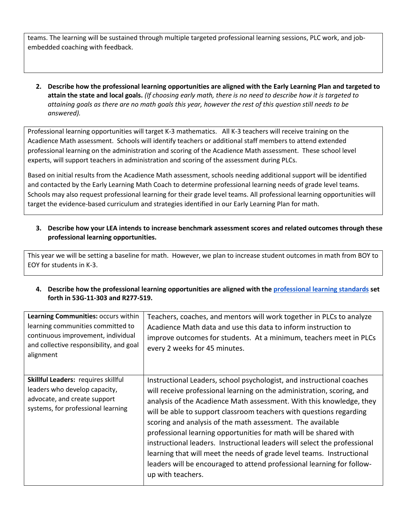teams. The learning will be sustained through multiple targeted professional learning sessions, PLC work, and jobembedded coaching with feedback.

**2. Describe how the professional learning opportunities are aligned with the Early Learning Plan and targeted to attain the state and local goals.** *(If choosing early math, there is no need to describe how it is targeted to attaining goals as there are no math goals this year, however the rest of this question still needs to be answered).* 

Professional learning opportunities will target K-3 mathematics. All K-3 teachers will receive training on the Acadience Math assessment. Schools will identify teachers or additional staff members to attend extended professional learning on the administration and scoring of the Acadience Math assessment. These school level experts, will support teachers in administration and scoring of the assessment during PLCs.

Based on initial results from the Acadience Math assessment, schools needing additional support will be identified and contacted by the Early Learning Math Coach to determine professional learning needs of grade level teams. Schools may also request professional learning for their grade level teams. All professional learning opportunities will target the evidence-based curriculum and strategies identified in our Early Learning Plan for math.

**3. Describe how your LEA intends to increase benchmark assessment scores and related outcomes through these professional learning opportunities.** 

This year we will be setting a baseline for math. However, we plan to increase student outcomes in math from BOY to EOY for students in K-3.

**4. Describe how the professional learning opportunities are aligned with th[e professional learning standards](https://www.schools.utah.gov/file/16da5004-199d-4380-9855-431722a7b425) set forth in 53G-11-303 and R277-519.**

| Learning Communities: occurs within<br>learning communities committed to<br>continuous improvement, individual<br>and collective responsibility, and goal<br>alignment | Teachers, coaches, and mentors will work together in PLCs to analyze<br>Acadience Math data and use this data to inform instruction to<br>improve outcomes for students. At a minimum, teachers meet in PLCs<br>every 2 weeks for 45 minutes.                                                                                                                                                                                                                                                                                                                                                                                                                                         |
|------------------------------------------------------------------------------------------------------------------------------------------------------------------------|---------------------------------------------------------------------------------------------------------------------------------------------------------------------------------------------------------------------------------------------------------------------------------------------------------------------------------------------------------------------------------------------------------------------------------------------------------------------------------------------------------------------------------------------------------------------------------------------------------------------------------------------------------------------------------------|
| Skillful Leaders: requires skillful<br>leaders who develop capacity,<br>advocate, and create support<br>systems, for professional learning                             | Instructional Leaders, school psychologist, and instructional coaches<br>will receive professional learning on the administration, scoring, and<br>analysis of the Acadience Math assessment. With this knowledge, they<br>will be able to support classroom teachers with questions regarding<br>scoring and analysis of the math assessment. The available<br>professional learning opportunities for math will be shared with<br>instructional leaders. Instructional leaders will select the professional<br>learning that will meet the needs of grade level teams. Instructional<br>leaders will be encouraged to attend professional learning for follow-<br>up with teachers. |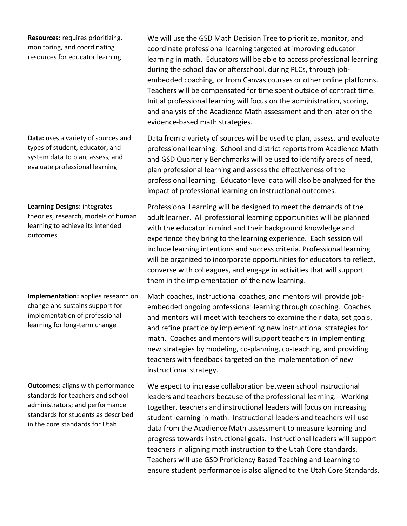| Resources: requires prioritizing,<br>monitoring, and coordinating<br>resources for educator learning                                                                                      | We will use the GSD Math Decision Tree to prioritize, monitor, and<br>coordinate professional learning targeted at improving educator<br>learning in math. Educators will be able to access professional learning<br>during the school day or afterschool, during PLCs, through job-<br>embedded coaching, or from Canvas courses or other online platforms.<br>Teachers will be compensated for time spent outside of contract time.<br>Initial professional learning will focus on the administration, scoring,<br>and analysis of the Acadience Math assessment and then later on the<br>evidence-based math strategies.                                |
|-------------------------------------------------------------------------------------------------------------------------------------------------------------------------------------------|------------------------------------------------------------------------------------------------------------------------------------------------------------------------------------------------------------------------------------------------------------------------------------------------------------------------------------------------------------------------------------------------------------------------------------------------------------------------------------------------------------------------------------------------------------------------------------------------------------------------------------------------------------|
| Data: uses a variety of sources and<br>types of student, educator, and<br>system data to plan, assess, and<br>evaluate professional learning                                              | Data from a variety of sources will be used to plan, assess, and evaluate<br>professional learning. School and district reports from Acadience Math<br>and GSD Quarterly Benchmarks will be used to identify areas of need,<br>plan professional learning and assess the effectiveness of the<br>professional learning. Educator level data will also be analyzed for the<br>impact of professional learning on instructional outcomes.                                                                                                                                                                                                                    |
| Learning Designs: integrates<br>theories, research, models of human<br>learning to achieve its intended<br>outcomes                                                                       | Professional Learning will be designed to meet the demands of the<br>adult learner. All professional learning opportunities will be planned<br>with the educator in mind and their background knowledge and<br>experience they bring to the learning experience. Each session will<br>include learning intentions and success criteria. Professional learning<br>will be organized to incorporate opportunities for educators to reflect,<br>converse with colleagues, and engage in activities that will support<br>them in the implementation of the new learning.                                                                                       |
| Implementation: applies research on<br>change and sustains support for<br>implementation of professional<br>learning for long-term change                                                 | Math coaches, instructional coaches, and mentors will provide job-<br>embedded ongoing professional learning through coaching. Coaches<br>and mentors will meet with teachers to examine their data, set goals,<br>and refine practice by implementing new instructional strategies for<br>math. Coaches and mentors will support teachers in implementing<br>new strategies by modeling, co-planning, co-teaching, and providing<br>teachers with feedback targeted on the implementation of new<br>instructional strategy.                                                                                                                               |
| <b>Outcomes: aligns with performance</b><br>standards for teachers and school<br>administrators; and performance<br>standards for students as described<br>in the core standards for Utah | We expect to increase collaboration between school instructional<br>leaders and teachers because of the professional learning. Working<br>together, teachers and instructional leaders will focus on increasing<br>student learning in math. Instructional leaders and teachers will use<br>data from the Acadience Math assessment to measure learning and<br>progress towards instructional goals. Instructional leaders will support<br>teachers in aligning math instruction to the Utah Core standards.<br>Teachers will use GSD Proficiency Based Teaching and Learning to<br>ensure student performance is also aligned to the Utah Core Standards. |